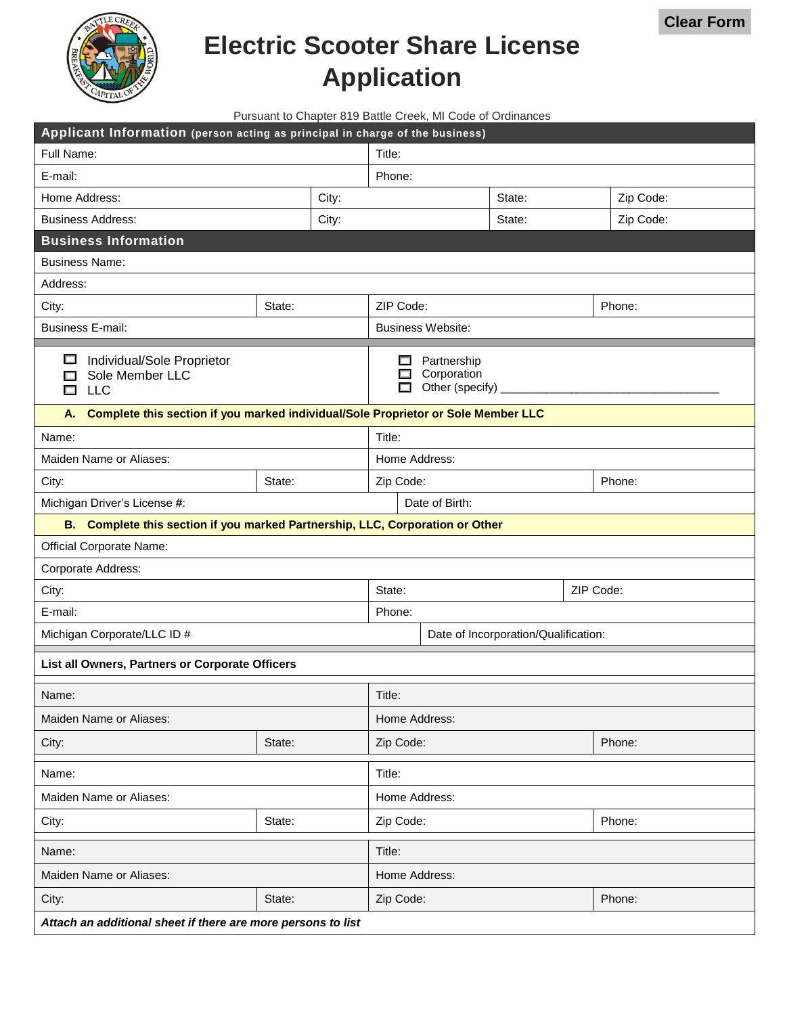

## **Electric Scooter Share License Application**

**Clear Form**

| Applicant Information (person acting as principal in charge of the business)            |        |                                                                      |                          |                                      |           |
|-----------------------------------------------------------------------------------------|--------|----------------------------------------------------------------------|--------------------------|--------------------------------------|-----------|
| Full Name:                                                                              |        | Title:                                                               |                          |                                      |           |
| E-mail:                                                                                 |        |                                                                      | Phone:                   |                                      |           |
| Home Address:                                                                           |        | City:                                                                |                          | State:                               | Zip Code: |
| <b>Business Address:</b>                                                                |        | City:                                                                |                          | State:                               | Zip Code: |
| <b>Business Information</b>                                                             |        |                                                                      |                          |                                      |           |
| <b>Business Name:</b>                                                                   |        |                                                                      |                          |                                      |           |
| Address:                                                                                |        |                                                                      |                          |                                      |           |
| City:                                                                                   | State: |                                                                      | ZIP Code:                |                                      | Phone:    |
| <b>Business E-mail:</b>                                                                 |        |                                                                      | <b>Business Website:</b> |                                      |           |
| $\Box$<br>Individual/Sole Proprietor<br>Sole Member LLC<br><b>LLC</b>                   |        | Partnership<br>ш.<br>Corporation<br>Other (specify) $_{-}$<br>$\Box$ |                          |                                      |           |
| Complete this section if you marked individual/Sole Proprietor or Sole Member LLC<br>А. |        |                                                                      |                          |                                      |           |
| Name:                                                                                   |        |                                                                      | Title:                   |                                      |           |
| Maiden Name or Aliases:                                                                 |        |                                                                      | Home Address:            |                                      |           |
| City:                                                                                   | State: |                                                                      | Zip Code:                |                                      | Phone:    |
| Michigan Driver's License #:                                                            |        |                                                                      | Date of Birth:           |                                      |           |
| B. Complete this section if you marked Partnership, LLC, Corporation or Other           |        |                                                                      |                          |                                      |           |
| <b>Official Corporate Name:</b>                                                         |        |                                                                      |                          |                                      |           |
| Corporate Address:                                                                      |        |                                                                      |                          |                                      |           |
| City:                                                                                   |        |                                                                      | State:                   |                                      | ZIP Code: |
| E-mail:                                                                                 |        |                                                                      | Phone:                   |                                      |           |
| Michigan Corporate/LLC ID #                                                             |        |                                                                      |                          | Date of Incorporation/Qualification: |           |
| List all Owners, Partners or Corporate Officers                                         |        |                                                                      |                          |                                      |           |
| Name:                                                                                   |        |                                                                      | Title:                   |                                      |           |
| Maiden Name or Aliases:                                                                 |        |                                                                      | Home Address:            |                                      |           |
| City:                                                                                   | State: |                                                                      | Zip Code:                |                                      | Phone:    |
| Name:                                                                                   |        |                                                                      | Title:                   |                                      |           |
| Maiden Name or Aliases:                                                                 |        |                                                                      | Home Address:            |                                      |           |
| City:                                                                                   | State: |                                                                      | Zip Code:                |                                      | Phone:    |
| Name:                                                                                   |        |                                                                      | Title:                   |                                      |           |
| Maiden Name or Aliases:                                                                 |        |                                                                      | Home Address:            |                                      |           |
| City:                                                                                   | State: |                                                                      | Zip Code:                |                                      | Phone:    |
| Attach an additional sheet if there are more persons to list                            |        |                                                                      |                          |                                      |           |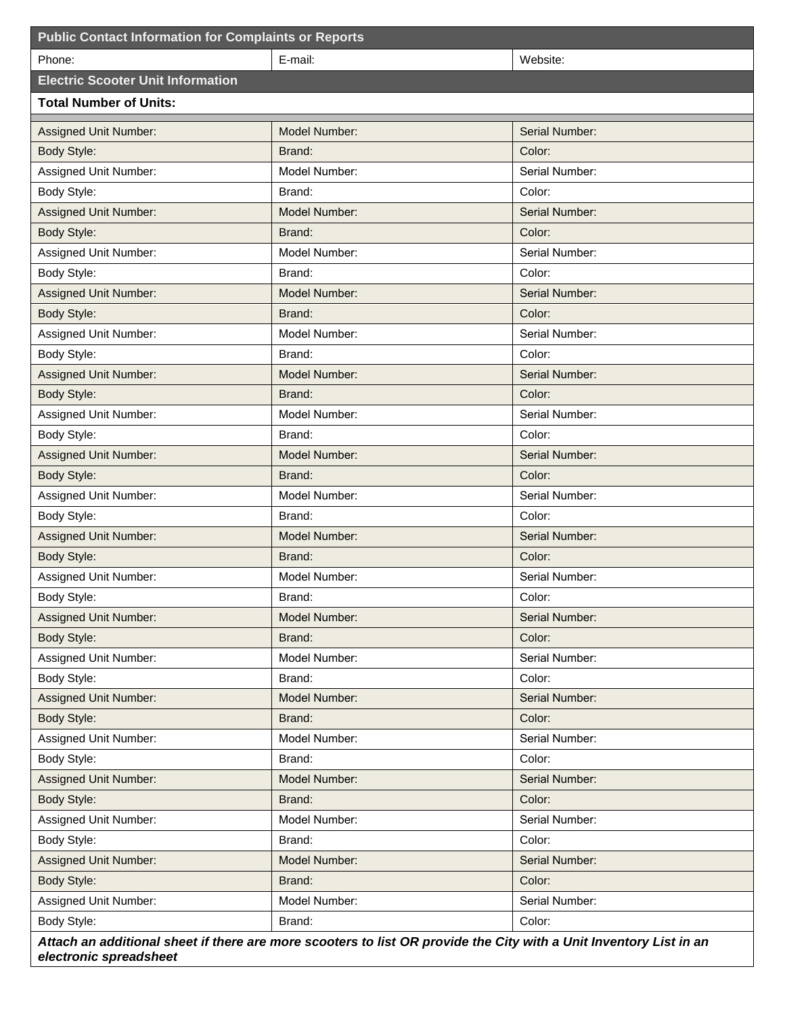| <b>Public Contact Information for Complaints or Reports</b>                                                        |                      |                |  |  |
|--------------------------------------------------------------------------------------------------------------------|----------------------|----------------|--|--|
| Phone:                                                                                                             | E-mail:              | Website:       |  |  |
| <b>Electric Scooter Unit Information</b>                                                                           |                      |                |  |  |
| <b>Total Number of Units:</b>                                                                                      |                      |                |  |  |
| Assigned Unit Number:                                                                                              | Model Number:        | Serial Number: |  |  |
| Body Style:                                                                                                        | Brand:               | Color:         |  |  |
| Assigned Unit Number:                                                                                              | Model Number:        | Serial Number: |  |  |
| Body Style:                                                                                                        | Brand:               | Color:         |  |  |
| Assigned Unit Number:                                                                                              | Model Number:        | Serial Number: |  |  |
| <b>Body Style:</b>                                                                                                 | Brand:               | Color:         |  |  |
| Assigned Unit Number:                                                                                              | Model Number:        | Serial Number: |  |  |
| Body Style:                                                                                                        | Brand:               | Color:         |  |  |
| Assigned Unit Number:                                                                                              | Model Number:        | Serial Number: |  |  |
| Body Style:                                                                                                        | Brand:               | Color:         |  |  |
| Assigned Unit Number:                                                                                              | Model Number:        | Serial Number: |  |  |
| Body Style:                                                                                                        | Brand:               | Color:         |  |  |
| Assigned Unit Number:                                                                                              | <b>Model Number:</b> | Serial Number: |  |  |
| Body Style:                                                                                                        | Brand:               | Color:         |  |  |
| Assigned Unit Number:                                                                                              | Model Number:        | Serial Number: |  |  |
| Body Style:                                                                                                        | Brand:               | Color:         |  |  |
| <b>Assigned Unit Number:</b>                                                                                       | <b>Model Number:</b> | Serial Number: |  |  |
| Body Style:                                                                                                        | Brand:               | Color:         |  |  |
| Assigned Unit Number:                                                                                              | Model Number:        | Serial Number: |  |  |
| Body Style:                                                                                                        | Brand:               | Color:         |  |  |
| <b>Assigned Unit Number:</b>                                                                                       | <b>Model Number:</b> | Serial Number: |  |  |
| Body Style:                                                                                                        | Brand:               | Color:         |  |  |
| Assigned Unit Number:                                                                                              | Model Number:        | Serial Number: |  |  |
| Body Style:                                                                                                        | Brand:               | Color:         |  |  |
| Assigned Unit Number:                                                                                              | Model Number:        | Serial Number: |  |  |
| Body Style:                                                                                                        | Brand:               | Color:         |  |  |
| Assigned Unit Number:                                                                                              | Model Number:        | Serial Number: |  |  |
| Body Style:                                                                                                        | Brand:               | Color:         |  |  |
| <b>Assigned Unit Number:</b>                                                                                       | Model Number:        | Serial Number: |  |  |
| Body Style:                                                                                                        | Brand:               | Color:         |  |  |
| Assigned Unit Number:                                                                                              | Model Number:        | Serial Number: |  |  |
| Body Style:                                                                                                        | Brand:               | Color:         |  |  |
| Assigned Unit Number:                                                                                              | Model Number:        | Serial Number: |  |  |
| Body Style:                                                                                                        | Brand:               | Color:         |  |  |
| Assigned Unit Number:                                                                                              | Model Number:        | Serial Number: |  |  |
| Body Style:                                                                                                        | Brand:               | Color:         |  |  |
| Assigned Unit Number:                                                                                              | Model Number:        | Serial Number: |  |  |
| Body Style:                                                                                                        | Brand:               | Color:         |  |  |
| Assigned Unit Number:                                                                                              | Model Number:        | Serial Number: |  |  |
| Body Style:                                                                                                        | Brand:               | Color:         |  |  |
| Attach an additional sheet if there are more scooters to list OR provide the City with a Unit Inventory List in an |                      |                |  |  |

*electronic spreadsheet*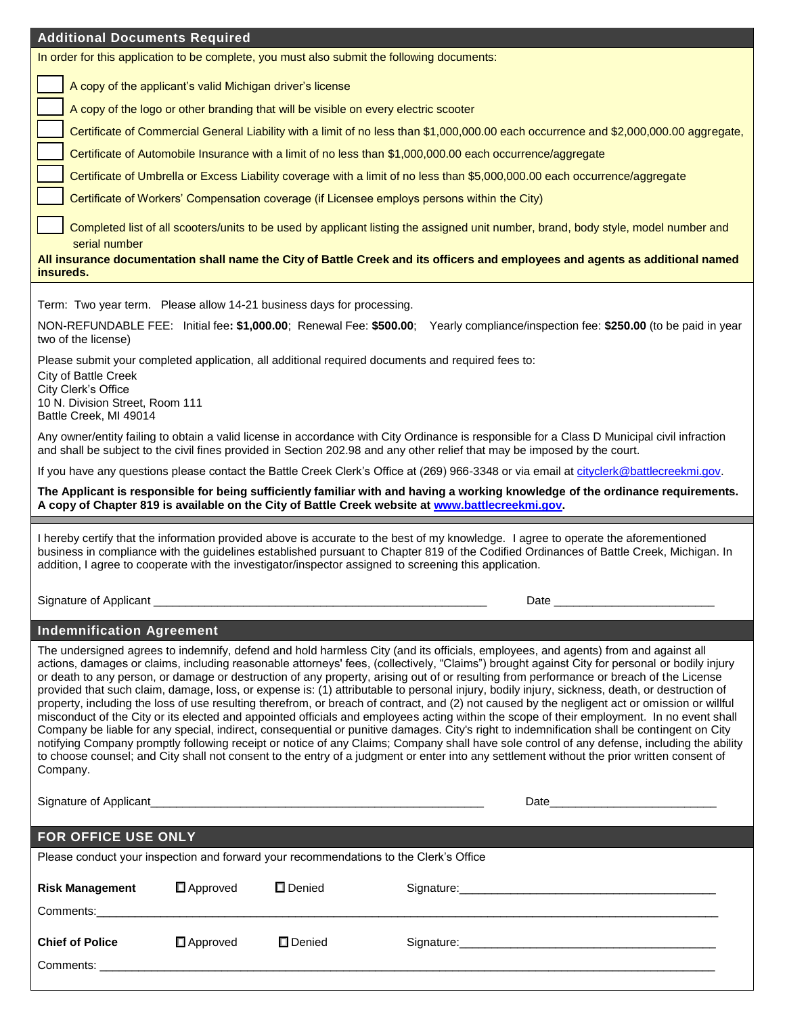| <b>Additional Documents Required</b>                                                                                                                                                                                                                                                                                                                                                                                                                                                                                                                                                                                                                                                                                                                                                                                                                                                                                                                                                                                                                                                                                                                                                                                                                                                                                                    |
|-----------------------------------------------------------------------------------------------------------------------------------------------------------------------------------------------------------------------------------------------------------------------------------------------------------------------------------------------------------------------------------------------------------------------------------------------------------------------------------------------------------------------------------------------------------------------------------------------------------------------------------------------------------------------------------------------------------------------------------------------------------------------------------------------------------------------------------------------------------------------------------------------------------------------------------------------------------------------------------------------------------------------------------------------------------------------------------------------------------------------------------------------------------------------------------------------------------------------------------------------------------------------------------------------------------------------------------------|
| In order for this application to be complete, you must also submit the following documents:                                                                                                                                                                                                                                                                                                                                                                                                                                                                                                                                                                                                                                                                                                                                                                                                                                                                                                                                                                                                                                                                                                                                                                                                                                             |
| A copy of the applicant's valid Michigan driver's license                                                                                                                                                                                                                                                                                                                                                                                                                                                                                                                                                                                                                                                                                                                                                                                                                                                                                                                                                                                                                                                                                                                                                                                                                                                                               |
| A copy of the logo or other branding that will be visible on every electric scooter                                                                                                                                                                                                                                                                                                                                                                                                                                                                                                                                                                                                                                                                                                                                                                                                                                                                                                                                                                                                                                                                                                                                                                                                                                                     |
| Certificate of Commercial General Liability with a limit of no less than \$1,000,000.00 each occurrence and \$2,000,000.00 aggregate,                                                                                                                                                                                                                                                                                                                                                                                                                                                                                                                                                                                                                                                                                                                                                                                                                                                                                                                                                                                                                                                                                                                                                                                                   |
| Certificate of Automobile Insurance with a limit of no less than \$1,000,000.00 each occurrence/aggregate                                                                                                                                                                                                                                                                                                                                                                                                                                                                                                                                                                                                                                                                                                                                                                                                                                                                                                                                                                                                                                                                                                                                                                                                                               |
| Certificate of Umbrella or Excess Liability coverage with a limit of no less than \$5,000,000.00 each occurrence/aggregate                                                                                                                                                                                                                                                                                                                                                                                                                                                                                                                                                                                                                                                                                                                                                                                                                                                                                                                                                                                                                                                                                                                                                                                                              |
| Certificate of Workers' Compensation coverage (if Licensee employs persons within the City)                                                                                                                                                                                                                                                                                                                                                                                                                                                                                                                                                                                                                                                                                                                                                                                                                                                                                                                                                                                                                                                                                                                                                                                                                                             |
| Completed list of all scooters/units to be used by applicant listing the assigned unit number, brand, body style, model number and<br>serial number                                                                                                                                                                                                                                                                                                                                                                                                                                                                                                                                                                                                                                                                                                                                                                                                                                                                                                                                                                                                                                                                                                                                                                                     |
| All insurance documentation shall name the City of Battle Creek and its officers and employees and agents as additional named                                                                                                                                                                                                                                                                                                                                                                                                                                                                                                                                                                                                                                                                                                                                                                                                                                                                                                                                                                                                                                                                                                                                                                                                           |
| insureds.                                                                                                                                                                                                                                                                                                                                                                                                                                                                                                                                                                                                                                                                                                                                                                                                                                                                                                                                                                                                                                                                                                                                                                                                                                                                                                                               |
| Term: Two year term. Please allow 14-21 business days for processing.                                                                                                                                                                                                                                                                                                                                                                                                                                                                                                                                                                                                                                                                                                                                                                                                                                                                                                                                                                                                                                                                                                                                                                                                                                                                   |
| NON-REFUNDABLE FEE: Initial fee: \$1,000.00; Renewal Fee: \$500.00;<br>Yearly compliance/inspection fee: \$250.00 (to be paid in year<br>two of the license)                                                                                                                                                                                                                                                                                                                                                                                                                                                                                                                                                                                                                                                                                                                                                                                                                                                                                                                                                                                                                                                                                                                                                                            |
| Please submit your completed application, all additional required documents and required fees to:<br>City of Battle Creek                                                                                                                                                                                                                                                                                                                                                                                                                                                                                                                                                                                                                                                                                                                                                                                                                                                                                                                                                                                                                                                                                                                                                                                                               |
| City Clerk's Office                                                                                                                                                                                                                                                                                                                                                                                                                                                                                                                                                                                                                                                                                                                                                                                                                                                                                                                                                                                                                                                                                                                                                                                                                                                                                                                     |
| 10 N. Division Street, Room 111<br>Battle Creek, MI 49014                                                                                                                                                                                                                                                                                                                                                                                                                                                                                                                                                                                                                                                                                                                                                                                                                                                                                                                                                                                                                                                                                                                                                                                                                                                                               |
| Any owner/entity failing to obtain a valid license in accordance with City Ordinance is responsible for a Class D Municipal civil infraction<br>and shall be subject to the civil fines provided in Section 202.98 and any other relief that may be imposed by the court.                                                                                                                                                                                                                                                                                                                                                                                                                                                                                                                                                                                                                                                                                                                                                                                                                                                                                                                                                                                                                                                               |
| If you have any questions please contact the Battle Creek Clerk's Office at (269) 966-3348 or via email at cityclerk@battlecreekmi.gov.                                                                                                                                                                                                                                                                                                                                                                                                                                                                                                                                                                                                                                                                                                                                                                                                                                                                                                                                                                                                                                                                                                                                                                                                 |
| The Applicant is responsible for being sufficiently familiar with and having a working knowledge of the ordinance requirements.<br>A copy of Chapter 819 is available on the City of Battle Creek website at www.battlecreekmi.gov.                                                                                                                                                                                                                                                                                                                                                                                                                                                                                                                                                                                                                                                                                                                                                                                                                                                                                                                                                                                                                                                                                                     |
| I hereby certify that the information provided above is accurate to the best of my knowledge. I agree to operate the aforementioned<br>business in compliance with the guidelines established pursuant to Chapter 819 of the Codified Ordinances of Battle Creek, Michigan. In<br>addition, I agree to cooperate with the investigator/inspector assigned to screening this application.                                                                                                                                                                                                                                                                                                                                                                                                                                                                                                                                                                                                                                                                                                                                                                                                                                                                                                                                                |
|                                                                                                                                                                                                                                                                                                                                                                                                                                                                                                                                                                                                                                                                                                                                                                                                                                                                                                                                                                                                                                                                                                                                                                                                                                                                                                                                         |
| <b>Indemnification Agreement</b>                                                                                                                                                                                                                                                                                                                                                                                                                                                                                                                                                                                                                                                                                                                                                                                                                                                                                                                                                                                                                                                                                                                                                                                                                                                                                                        |
| The undersigned agrees to indemnify, defend and hold harmless City (and its officials, employees, and agents) from and against all<br>actions, damages or claims, including reasonable attorneys' fees, (collectively, "Claims") brought against City for personal or bodily injury<br>or death to any person, or damage or destruction of any property, arising out of or resulting from performance or breach of the License<br>provided that such claim, damage, loss, or expense is: (1) attributable to personal injury, bodily injury, sickness, death, or destruction of<br>property, including the loss of use resulting therefrom, or breach of contract, and (2) not caused by the negligent act or omission or willful<br>misconduct of the City or its elected and appointed officials and employees acting within the scope of their employment. In no event shall<br>Company be liable for any special, indirect, consequential or punitive damages. City's right to indemnification shall be contingent on City<br>notifying Company promptly following receipt or notice of any Claims; Company shall have sole control of any defense, including the ability<br>to choose counsel; and City shall not consent to the entry of a judgment or enter into any settlement without the prior written consent of<br>Company. |
|                                                                                                                                                                                                                                                                                                                                                                                                                                                                                                                                                                                                                                                                                                                                                                                                                                                                                                                                                                                                                                                                                                                                                                                                                                                                                                                                         |
|                                                                                                                                                                                                                                                                                                                                                                                                                                                                                                                                                                                                                                                                                                                                                                                                                                                                                                                                                                                                                                                                                                                                                                                                                                                                                                                                         |
| FOR OFFICE USE ONLY                                                                                                                                                                                                                                                                                                                                                                                                                                                                                                                                                                                                                                                                                                                                                                                                                                                                                                                                                                                                                                                                                                                                                                                                                                                                                                                     |
| Please conduct your inspection and forward your recommendations to the Clerk's Office                                                                                                                                                                                                                                                                                                                                                                                                                                                                                                                                                                                                                                                                                                                                                                                                                                                                                                                                                                                                                                                                                                                                                                                                                                                   |
| Risk Management D Approved D Denied<br>Signature:                                                                                                                                                                                                                                                                                                                                                                                                                                                                                                                                                                                                                                                                                                                                                                                                                                                                                                                                                                                                                                                                                                                                                                                                                                                                                       |

| <b>Risk Management</b>              | $\Box$ Approved | $\square$ Denied | Signature: |
|-------------------------------------|-----------------|------------------|------------|
| Comments:                           |                 |                  |            |
| <b>Chief of Police</b><br>Comments: | $\Box$ Approved | $\square$ Denied | Signature: |